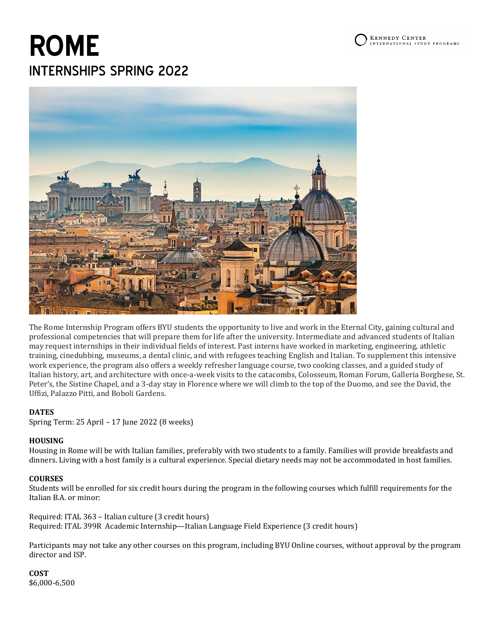# **ROME** INTERNSHIPS SPRING 2022



The Rome Internship Program offers BYU students the opportunity to live and work in the Eternal City, gaining cultural and professional competencies that will prepare them for life after the university. Intermediate and advanced students of Italian may request internships in their individual fields of interest. Past interns have worked in marketing, engineering, athletic training, cinedubbing, museums, a dental clinic, and with refugees teaching English and Italian. To supplement this intensive work experience, the program also offers a weekly refresher language course, two cooking classes, and a guided study of Italian history, art, and architecture with once-a-week visits to the catacombs, Colosseum, Roman Forum, Galleria Borghese, St. Peter's, the Sistine Chapel, and a 3-day stay in Florence where we will climb to the top of the Duomo, and see the David, the Uffizi, Palazzo Pitti, and Boboli Gardens.

#### **DATES**

Spring Term: 25 April – 17 June 2022 (8 weeks)

#### **HOUSING**

Housing in Rome will be with Italian families, preferably with two students to a family. Families will provide breakfasts and dinners. Living with a host family is a cultural experience. Special dietary needs may not be accommodated in host families.

#### **COURSES**

Students will be enrolled for six credit hours during the program in the following courses which fulfill requirements for the Italian B.A. or minor:

Required: ITAL 363 – Italian culture (3 credit hours) Required: ITAL 399R Academic Internship—Italian Language Field Experience (3 credit hours)

Participants may not take any other courses on this program, including BYU Online courses, without approval by the program director and ISP.

**COST** \$6,000-6,500